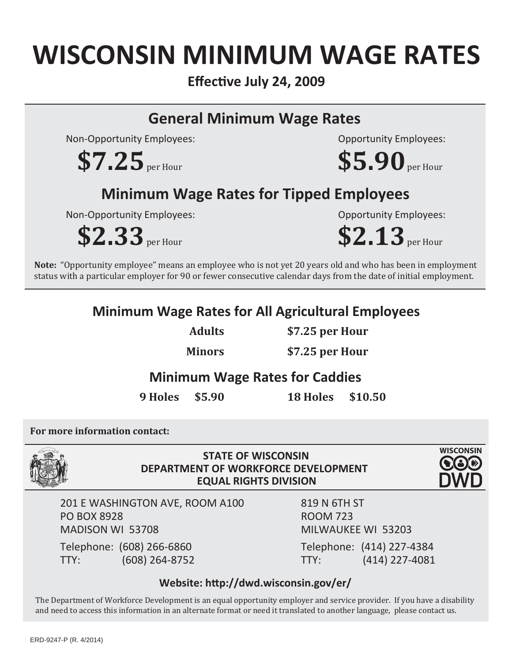## **WISCONSIN MINIMUM WAGE RATES**

**EffecƟve July 24, 2009**

### **General Minimum Wage Rates**

Non-Opportunity Employees:

 $$7.25$ <sub>per Hour</sub>

## **Minimum Wage Rates for Tipped Employees**

Non-Opportunity Employees:

**\$2.33** per Hour

Opportunity Employees:

Opportunity Employees:

**\$5.90** per Hour

**\$2.13** per Hour

**Note:** "Opportunity employee" means an employee who is not yet 20 years old and who has been in employment status with a particular employer for 90 or fewer consecutive calendar days from the date of initial employment.

#### **Minimum Wage Rates for All Agricultural Employees**

**Adults**

**\$7.25 per Hour**

**Minors**

**\$7.25 per Hour**

#### **Minimum Wage Rates for Caddies**

**9 Holes \$5.90 18 Holes \$10.50**

**For more information contact:** 



**STATE OF WISCONSIN DEPARTMENT OF WORKFORCE DEVELOPMENT EQUAL RIGHTS DIVISION** 



201 E WASHINGTON AVE, ROOM A100 PO BOX 8928 MADISON WI 53708

Telephone: (608) 266-6860 TTY: (608) 264-8752 819 N 6TH ST ROOM 723 MILWAUKEE WI 53203 Telephone: (414) 227-4384 TTY: (414) 227-4081

#### **Website: hƩp://dwd.wisconsin.gov/er/**

The Department of Workforce Development is an equal opportunity employer and service provider. If you have a disability and need to access this information in an alternate format or need it translated to another language, please contact us.